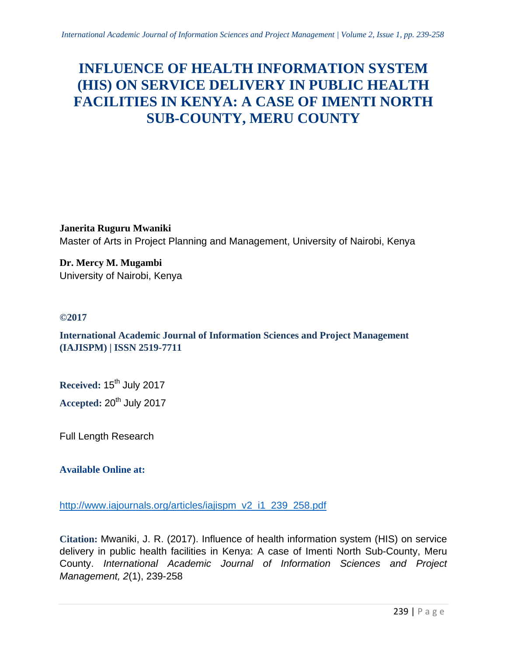# **INFLUENCE OF HEALTH INFORMATION SYSTEM (HIS) ON SERVICE DELIVERY IN PUBLIC HEALTH FACILITIES IN KENYA: A CASE OF IMENTI NORTH SUB-COUNTY, MERU COUNTY**

**Janerita Ruguru Mwaniki** Master of Arts in Project Planning and Management, University of Nairobi, Kenya

**Dr. Mercy M. Mugambi** University of Nairobi, Kenya

# **©2017**

**International Academic Journal of Information Sciences and Project Management (IAJISPM) | ISSN 2519-7711**

Received: 15<sup>th</sup> July 2017

**Accepted: 20<sup>th</sup> July 2017** 

Full Length Research

# **Available Online at:**

[http://www.iajournals.org/articles/iajispm\\_v2\\_i1\\_239\\_258.pdf](http://www.iajournals.org/articles/iajispm_v2_i1_239_258.pdf)

**Citation:** Mwaniki, J. R. (2017). Influence of health information system (HIS) on service delivery in public health facilities in Kenya: A case of Imenti North Sub-County, Meru County. *International Academic Journal of Information Sciences and Project Management, 2*(1), 239-258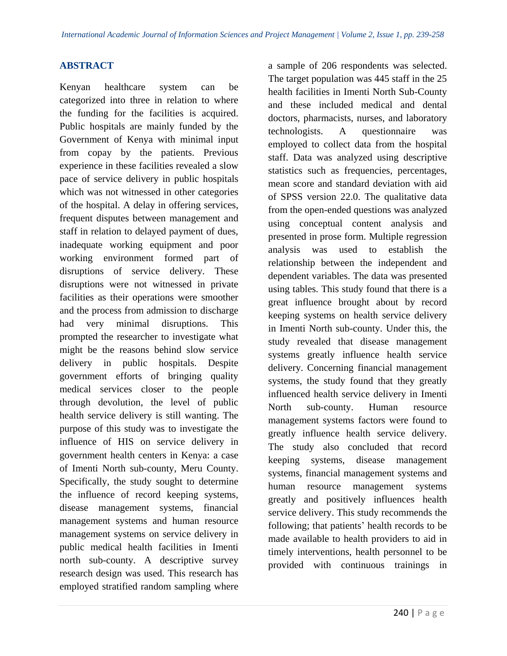# **ABSTRACT**

Kenyan healthcare system can be categorized into three in relation to where the funding for the facilities is acquired. Public hospitals are mainly funded by the Government of Kenya with minimal input from copay by the patients. Previous experience in these facilities revealed a slow pace of service delivery in public hospitals which was not witnessed in other categories of the hospital. A delay in offering services, frequent disputes between management and staff in relation to delayed payment of dues, inadequate working equipment and poor working environment formed part of disruptions of service delivery. These disruptions were not witnessed in private facilities as their operations were smoother and the process from admission to discharge had very minimal disruptions. This prompted the researcher to investigate what might be the reasons behind slow service delivery in public hospitals. Despite government efforts of bringing quality medical services closer to the people through devolution, the level of public health service delivery is still wanting. The purpose of this study was to investigate the influence of HIS on service delivery in government health centers in Kenya: a case of Imenti North sub-county, Meru County. Specifically, the study sought to determine the influence of record keeping systems, disease management systems, financial management systems and human resource management systems on service delivery in public medical health facilities in Imenti north sub-county. A descriptive survey research design was used. This research has employed stratified random sampling where

a sample of 206 respondents was selected. The target population was 445 staff in the 25 health facilities in Imenti North Sub-County and these included medical and dental doctors, pharmacists, nurses, and laboratory technologists. A questionnaire was employed to collect data from the hospital staff. Data was analyzed using descriptive statistics such as frequencies, percentages, mean score and standard deviation with aid of SPSS version 22.0. The qualitative data from the open-ended questions was analyzed using conceptual content analysis and presented in prose form. Multiple regression analysis was used to establish the relationship between the independent and dependent variables. The data was presented using tables. This study found that there is a great influence brought about by record keeping systems on health service delivery in Imenti North sub-county. Under this, the study revealed that disease management systems greatly influence health service delivery. Concerning financial management systems, the study found that they greatly influenced health service delivery in Imenti North sub-county. Human resource management systems factors were found to greatly influence health service delivery. The study also concluded that record keeping systems, disease management systems, financial management systems and human resource management systems greatly and positively influences health service delivery. This study recommends the following; that patients' health records to be made available to health providers to aid in timely interventions, health personnel to be provided with continuous trainings in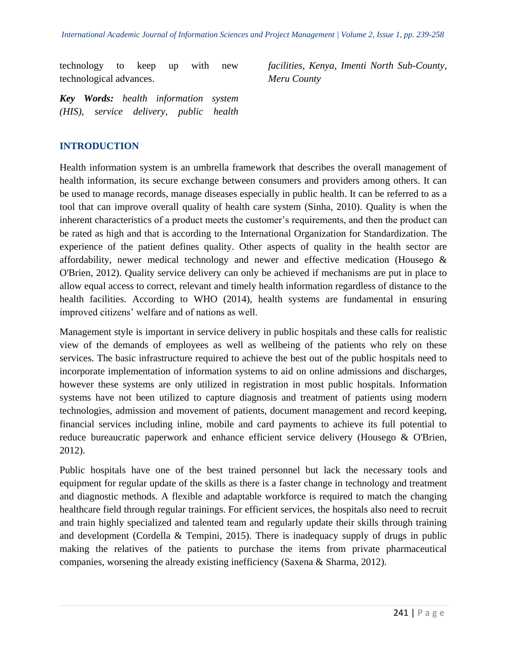technology to keep up with new technological advances.

*facilities, Kenya, Imenti North Sub-County, Meru County*

*Key Words: health information system (HIS), service delivery, public health* 

# **INTRODUCTION**

Health information system is an umbrella framework that describes the overall management of health information, its secure exchange between consumers and providers among others. It can be used to manage records, manage diseases especially in public health. It can be referred to as a tool that can improve overall quality of health care system (Sinha, 2010). Quality is when the inherent characteristics of a product meets the customer's requirements, and then the product can be rated as high and that is according to the International Organization for Standardization. The experience of the patient defines quality. Other aspects of quality in the health sector are affordability, newer medical technology and newer and effective medication (Housego & O'Brien, 2012). Quality service delivery can only be achieved if mechanisms are put in place to allow equal access to correct, relevant and timely health information regardless of distance to the health facilities. According to WHO (2014), health systems are fundamental in ensuring improved citizens' welfare and of nations as well.

Management style is important in service delivery in public hospitals and these calls for realistic view of the demands of employees as well as wellbeing of the patients who rely on these services. The basic infrastructure required to achieve the best out of the public hospitals need to incorporate implementation of information systems to aid on online admissions and discharges, however these systems are only utilized in registration in most public hospitals. Information systems have not been utilized to capture diagnosis and treatment of patients using modern technologies, admission and movement of patients, document management and record keeping, financial services including inline, mobile and card payments to achieve its full potential to reduce bureaucratic paperwork and enhance efficient service delivery (Housego & O'Brien, 2012).

Public hospitals have one of the best trained personnel but lack the necessary tools and equipment for regular update of the skills as there is a faster change in technology and treatment and diagnostic methods. A flexible and adaptable workforce is required to match the changing healthcare field through regular trainings. For efficient services, the hospitals also need to recruit and train highly specialized and talented team and regularly update their skills through training and development (Cordella & Tempini, 2015). There is inadequacy supply of drugs in public making the relatives of the patients to purchase the items from private pharmaceutical companies, worsening the already existing inefficiency (Saxena & Sharma, 2012).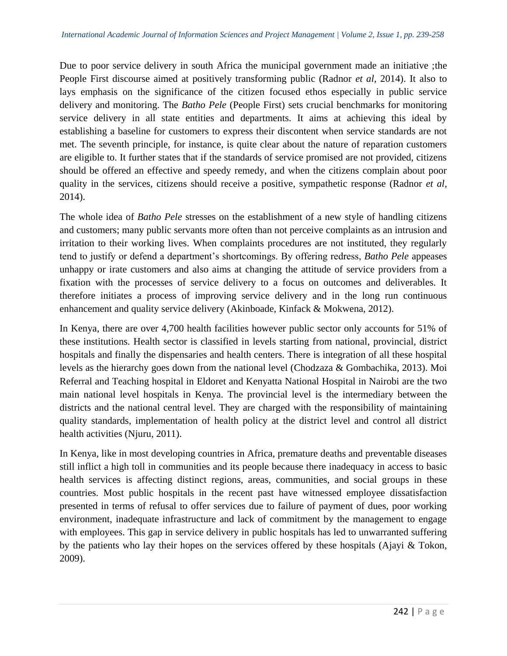Due to poor service delivery in south Africa the municipal government made an initiative ;the People First discourse aimed at positively transforming public (Radnor *et al*, 2014). It also to lays emphasis on the significance of the citizen focused ethos especially in public service delivery and monitoring. The *Batho Pele* (People First) sets crucial benchmarks for monitoring service delivery in all state entities and departments. It aims at achieving this ideal by establishing a baseline for customers to express their discontent when service standards are not met. The seventh principle, for instance, is quite clear about the nature of reparation customers are eligible to. It further states that if the standards of service promised are not provided, citizens should be offered an effective and speedy remedy, and when the citizens complain about poor quality in the services, citizens should receive a positive, sympathetic response (Radnor *et al*, 2014).

The whole idea of *Batho Pele* stresses on the establishment of a new style of handling citizens and customers; many public servants more often than not perceive complaints as an intrusion and irritation to their working lives. When complaints procedures are not instituted, they regularly tend to justify or defend a department's shortcomings. By offering redress, *Batho Pele* appeases unhappy or irate customers and also aims at changing the attitude of service providers from a fixation with the processes of service delivery to a focus on outcomes and deliverables. It therefore initiates a process of improving service delivery and in the long run continuous enhancement and quality service delivery (Akinboade, Kinfack & Mokwena, 2012).

In Kenya, there are over 4,700 health facilities however public sector only accounts for 51% of these institutions. Health sector is classified in levels starting from national, provincial, district hospitals and finally the dispensaries and health centers. There is integration of all these hospital levels as the hierarchy goes down from the national level (Chodzaza & Gombachika, 2013). Moi Referral and Teaching hospital in Eldoret and Kenyatta National Hospital in Nairobi are the two main national level hospitals in Kenya. The provincial level is the intermediary between the districts and the national central level. They are charged with the responsibility of maintaining quality standards, implementation of health policy at the district level and control all district health activities (Njuru, 2011).

In Kenya, like in most developing countries in Africa, premature deaths and preventable diseases still inflict a high toll in communities and its people because there inadequacy in access to basic health services is affecting distinct regions, areas, communities, and social groups in these countries. Most public hospitals in the recent past have witnessed employee dissatisfaction presented in terms of refusal to offer services due to failure of payment of dues, poor working environment, inadequate infrastructure and lack of commitment by the management to engage with employees. This gap in service delivery in public hospitals has led to unwarranted suffering by the patients who lay their hopes on the services offered by these hospitals (Ajayi & Tokon, 2009).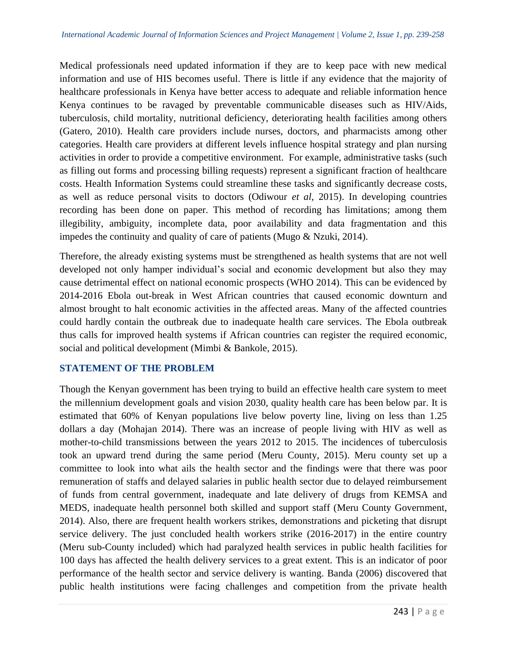Medical professionals need updated information if they are to keep pace with new medical information and use of HIS becomes useful. There is little if any evidence that the majority of healthcare professionals in Kenya have better access to adequate and reliable information hence Kenya continues to be ravaged by preventable communicable diseases such as HIV/Aids, tuberculosis, child mortality, nutritional deficiency, deteriorating health facilities among others (Gatero, 2010). Health care providers include nurses, doctors, and pharmacists among other categories. Health care providers at different levels influence hospital strategy and plan nursing activities in order to provide a competitive environment. For example, administrative tasks (such as filling out forms and processing billing requests) represent a significant fraction of healthcare costs. Health Information Systems could streamline these tasks and significantly decrease costs, as well as reduce personal visits to doctors (Odiwour *et al*, 2015). In developing countries recording has been done on paper. This method of recording has limitations; among them illegibility, ambiguity, incomplete data, poor availability and data fragmentation and this impedes the continuity and quality of care of patients (Mugo & Nzuki, 2014).

Therefore, the already existing systems must be strengthened as health systems that are not well developed not only hamper individual's social and economic development but also they may cause detrimental effect on national economic prospects (WHO 2014). This can be evidenced by 2014-2016 Ebola out-break in West African countries that caused economic downturn and almost brought to halt economic activities in the affected areas. Many of the affected countries could hardly contain the outbreak due to inadequate health care services. The Ebola outbreak thus calls for improved health systems if African countries can register the required economic, social and political development (Mimbi & Bankole, 2015).

#### **STATEMENT OF THE PROBLEM**

Though the Kenyan government has been trying to build an effective health care system to meet the millennium development goals and vision 2030, quality health care has been below par. It is estimated that 60% of Kenyan populations live below poverty line, living on less than 1.25 dollars a day (Mohajan 2014). There was an increase of people living with HIV as well as mother-to-child transmissions between the years 2012 to 2015. The incidences of tuberculosis took an upward trend during the same period (Meru County, 2015). Meru county set up a committee to look into what ails the health sector and the findings were that there was poor remuneration of staffs and delayed salaries in public health sector due to delayed reimbursement of funds from central government, inadequate and late delivery of drugs from KEMSA and MEDS, inadequate health personnel both skilled and support staff (Meru County Government, 2014). Also, there are frequent health workers strikes, demonstrations and picketing that disrupt service delivery. The just concluded health workers strike (2016-2017) in the entire country (Meru sub-County included) which had paralyzed health services in public health facilities for 100 days has affected the health delivery services to a great extent. This is an indicator of poor performance of the health sector and service delivery is wanting. Banda (2006) discovered that public health institutions were facing challenges and competition from the private health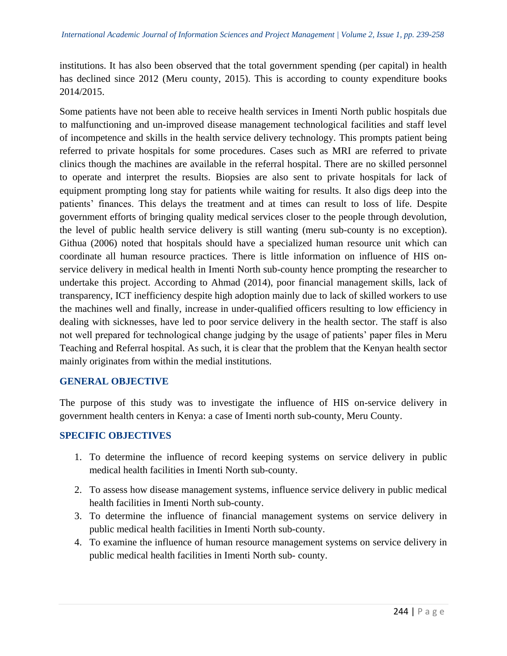institutions. It has also been observed that the total government spending (per capital) in health has declined since 2012 (Meru county, 2015). This is according to county expenditure books 2014/2015.

Some patients have not been able to receive health services in Imenti North public hospitals due to malfunctioning and un-improved disease management technological facilities and staff level of incompetence and skills in the health service delivery technology. This prompts patient being referred to private hospitals for some procedures. Cases such as MRI are referred to private clinics though the machines are available in the referral hospital. There are no skilled personnel to operate and interpret the results. Biopsies are also sent to private hospitals for lack of equipment prompting long stay for patients while waiting for results. It also digs deep into the patients' finances. This delays the treatment and at times can result to loss of life. Despite government efforts of bringing quality medical services closer to the people through devolution, the level of public health service delivery is still wanting (meru sub-county is no exception). Githua (2006) noted that hospitals should have a specialized human resource unit which can coordinate all human resource practices. There is little information on influence of HIS onservice delivery in medical health in Imenti North sub-county hence prompting the researcher to undertake this project. According to Ahmad (2014), poor financial management skills, lack of transparency, ICT inefficiency despite high adoption mainly due to lack of skilled workers to use the machines well and finally, increase in under-qualified officers resulting to low efficiency in dealing with sicknesses, have led to poor service delivery in the health sector. The staff is also not well prepared for technological change judging by the usage of patients' paper files in Meru Teaching and Referral hospital. As such, it is clear that the problem that the Kenyan health sector mainly originates from within the medial institutions.

#### **GENERAL OBJECTIVE**

The purpose of this study was to investigate the influence of HIS on-service delivery in government health centers in Kenya: a case of Imenti north sub-county, Meru County.

#### **SPECIFIC OBJECTIVES**

- 1. To determine the influence of record keeping systems on service delivery in public medical health facilities in Imenti North sub-county.
- 2. To assess how disease management systems, influence service delivery in public medical health facilities in Imenti North sub-county.
- 3. To determine the influence of financial management systems on service delivery in public medical health facilities in Imenti North sub-county.
- 4. To examine the influence of human resource management systems on service delivery in public medical health facilities in Imenti North sub- county.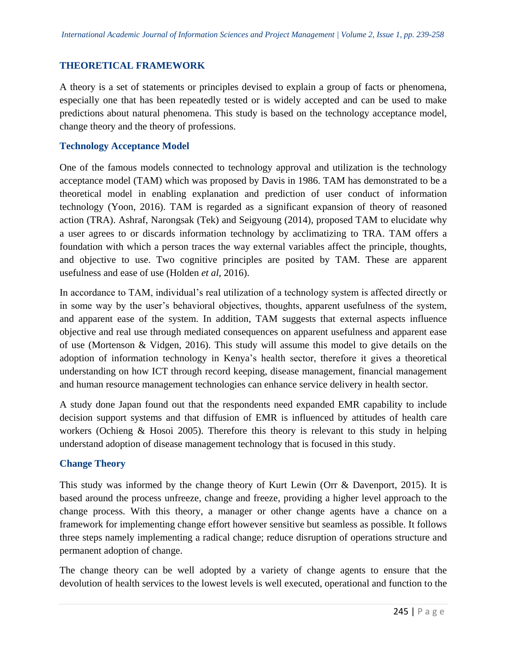# **THEORETICAL FRAMEWORK**

A theory is a set of statements or principles devised to explain a group of facts or phenomena, especially one that has been repeatedly tested or is widely accepted and can be used to make predictions about natural phenomena. This study is based on the technology acceptance model, change theory and the theory of professions.

## **Technology Acceptance Model**

One of the famous models connected to technology approval and utilization is the technology acceptance model (TAM) which was proposed by Davis in 1986. TAM has demonstrated to be a theoretical model in enabling explanation and prediction of user conduct of information technology (Yoon, 2016). TAM is regarded as a significant expansion of theory of reasoned action (TRA). Ashraf, Narongsak (Tek) and Seigyoung (2014), proposed TAM to elucidate why a user agrees to or discards information technology by acclimatizing to TRA. TAM offers a foundation with which a person traces the way external variables affect the principle, thoughts, and objective to use. Two cognitive principles are posited by TAM. These are apparent usefulness and ease of use (Holden *et al,* 2016).

In accordance to TAM, individual's real utilization of a technology system is affected directly or in some way by the user's behavioral objectives, thoughts, apparent usefulness of the system, and apparent ease of the system. In addition, TAM suggests that external aspects influence objective and real use through mediated consequences on apparent usefulness and apparent ease of use (Mortenson & Vidgen, 2016). This study will assume this model to give details on the adoption of information technology in Kenya's health sector, therefore it gives a theoretical understanding on how ICT through record keeping, disease management, financial management and human resource management technologies can enhance service delivery in health sector.

A study done Japan found out that the respondents need expanded EMR capability to include decision support systems and that diffusion of EMR is influenced by attitudes of health care workers (Ochieng & Hosoi 2005). Therefore this theory is relevant to this study in helping understand adoption of disease management technology that is focused in this study.

#### **Change Theory**

This study was informed by the change theory of Kurt Lewin (Orr & Davenport, 2015). It is based around the process unfreeze, change and freeze, providing a higher level approach to the change process. With this theory, a manager or other change agents have a chance on a framework for implementing change effort however sensitive but seamless as possible. It follows three steps namely implementing a radical change; reduce disruption of operations structure and permanent adoption of change.

The change theory can be well adopted by a variety of change agents to ensure that the devolution of health services to the lowest levels is well executed, operational and function to the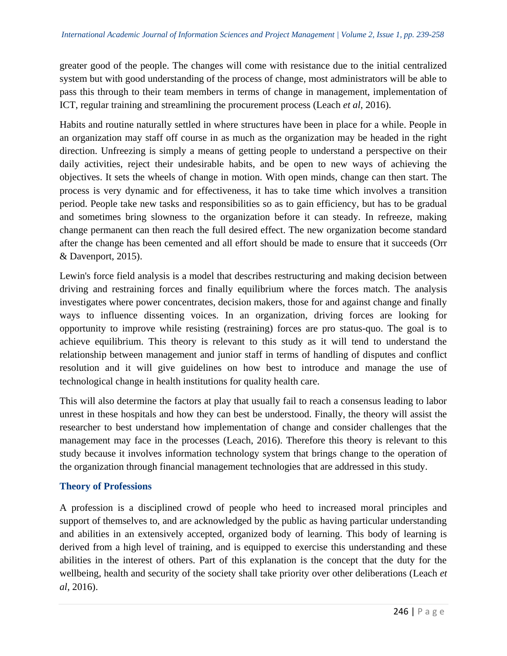greater good of the people. The changes will come with resistance due to the initial centralized system but with good understanding of the process of change, most administrators will be able to pass this through to their team members in terms of change in management, implementation of ICT, regular training and streamlining the procurement process (Leach *et al*, 2016).

Habits and routine naturally settled in where structures have been in place for a while. People in an organization may staff off course in as much as the organization may be headed in the right direction. Unfreezing is simply a means of getting people to understand a perspective on their daily activities, reject their undesirable habits, and be open to new ways of achieving the objectives. It sets the wheels of change in motion. With open minds, change can then start. The process is very dynamic and for effectiveness, it has to take time which involves a transition period. People take new tasks and responsibilities so as to gain efficiency, but has to be gradual and sometimes bring slowness to the organization before it can steady. In refreeze, making change permanent can then reach the full desired effect. The new organization become standard after the change has been cemented and all effort should be made to ensure that it succeeds (Orr & Davenport, 2015).

Lewin's force field analysis is a model that describes restructuring and making decision between driving and restraining forces and finally equilibrium where the forces match. The analysis investigates where power concentrates, decision makers, those for and against change and finally ways to influence dissenting voices. In an organization, driving forces are looking for opportunity to improve while resisting (restraining) forces are pro status-quo. The goal is to achieve equilibrium. This theory is relevant to this study as it will tend to understand the relationship between management and junior staff in terms of handling of disputes and conflict resolution and it will give guidelines on how best to introduce and manage the use of technological change in health institutions for quality health care.

This will also determine the factors at play that usually fail to reach a consensus leading to labor unrest in these hospitals and how they can best be understood. Finally, the theory will assist the researcher to best understand how implementation of change and consider challenges that the management may face in the processes (Leach, 2016). Therefore this theory is relevant to this study because it involves information technology system that brings change to the operation of the organization through financial management technologies that are addressed in this study.

# **Theory of Professions**

A profession is a disciplined crowd of people who heed to increased moral principles and support of themselves to, and are acknowledged by the public as having particular understanding and abilities in an extensively accepted, organized body of learning. This body of learning is derived from a high level of training, and is equipped to exercise this understanding and these abilities in the interest of others. Part of this explanation is the concept that the duty for the wellbeing, health and security of the society shall take priority over other deliberations (Leach *et al*, 2016).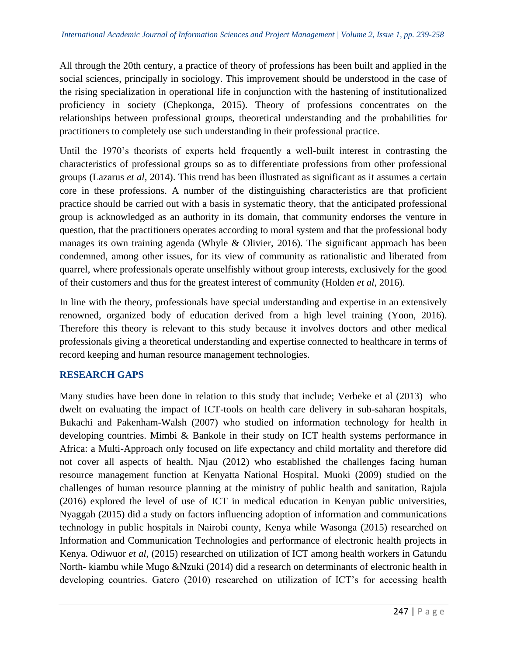All through the 20th century, a practice of theory of professions has been built and applied in the social sciences, principally in sociology. This improvement should be understood in the case of the rising specialization in operational life in conjunction with the hastening of institutionalized proficiency in society (Chepkonga, 2015). Theory of professions concentrates on the relationships between professional groups, theoretical understanding and the probabilities for practitioners to completely use such understanding in their professional practice.

Until the 1970's theorists of experts held frequently a well-built interest in contrasting the characteristics of professional groups so as to differentiate professions from other professional groups (Lazarus *et al,* 2014). This trend has been illustrated as significant as it assumes a certain core in these professions. A number of the distinguishing characteristics are that proficient practice should be carried out with a basis in systematic theory, that the anticipated professional group is acknowledged as an authority in its domain, that community endorses the venture in question, that the practitioners operates according to moral system and that the professional body manages its own training agenda (Whyle & Olivier, 2016). The significant approach has been condemned, among other issues, for its view of community as rationalistic and liberated from quarrel, where professionals operate unselfishly without group interests, exclusively for the good of their customers and thus for the greatest interest of community (Holden *et al*, 2016).

In line with the theory, professionals have special understanding and expertise in an extensively renowned, organized body of education derived from a high level training (Yoon, 2016). Therefore this theory is relevant to this study because it involves doctors and other medical professionals giving a theoretical understanding and expertise connected to healthcare in terms of record keeping and human resource management technologies.

# **RESEARCH GAPS**

Many studies have been done in relation to this study that include; Verbeke et al (2013) who dwelt on evaluating the impact of ICT-tools on health care delivery in sub-saharan hospitals, Bukachi and Pakenham-Walsh (2007) who studied on information technology for health in developing countries. Mimbi & Bankole in their study on ICT health systems performance in Africa: a Multi-Approach only focused on life expectancy and child mortality and therefore did not cover all aspects of health. Njau (2012) who established the challenges facing human resource management function at Kenyatta National Hospital. Muoki (2009) studied on the challenges of human resource planning at the ministry of public health and sanitation, Rajula (2016) explored the level of use of ICT in medical education in Kenyan public universities, Nyaggah (2015) did a study on factors influencing adoption of information and communications technology in public hospitals in Nairobi county, Kenya while Wasonga (2015) researched on Information and Communication Technologies and performance of electronic health projects in Kenya. Odiwuor *et al,* (2015) researched on utilization of ICT among health workers in Gatundu North- kiambu while Mugo &Nzuki (2014) did a research on determinants of electronic health in developing countries. Gatero (2010) researched on utilization of ICT's for accessing health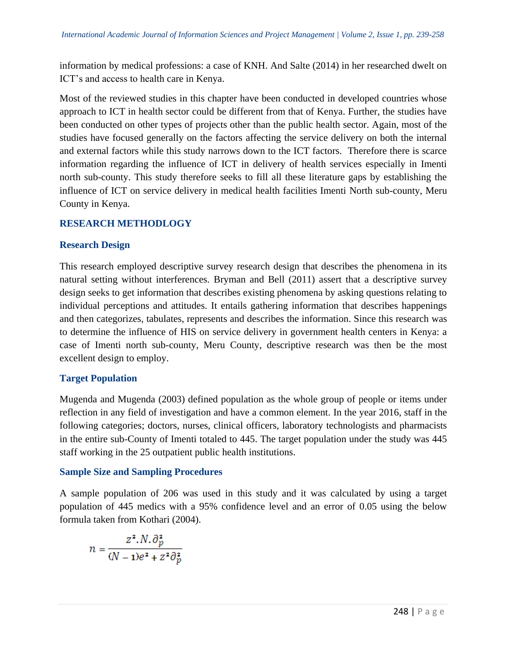information by medical professions: a case of KNH. And Salte (2014) in her researched dwelt on ICT's and access to health care in Kenya.

Most of the reviewed studies in this chapter have been conducted in developed countries whose approach to ICT in health sector could be different from that of Kenya. Further, the studies have been conducted on other types of projects other than the public health sector. Again, most of the studies have focused generally on the factors affecting the service delivery on both the internal and external factors while this study narrows down to the ICT factors. Therefore there is scarce information regarding the influence of ICT in delivery of health services especially in Imenti north sub-county. This study therefore seeks to fill all these literature gaps by establishing the influence of ICT on service delivery in medical health facilities Imenti North sub-county, Meru County in Kenya.

# **RESEARCH METHODLOGY**

# **Research Design**

This research employed descriptive survey research design that describes the phenomena in its natural setting without interferences. Bryman and Bell (2011) assert that a descriptive survey design seeks to get information that describes existing phenomena by asking questions relating to individual perceptions and attitudes. It entails gathering information that describes happenings and then categorizes, tabulates, represents and describes the information. Since this research was to determine the influence of HIS on service delivery in government health centers in Kenya: a case of Imenti north sub-county, Meru County, descriptive research was then be the most excellent design to employ.

# **Target Population**

Mugenda and Mugenda (2003) defined population as the whole group of people or items under reflection in any field of investigation and have a common element. In the year 2016, staff in the following categories; doctors, nurses, clinical officers, laboratory technologists and pharmacists in the entire sub-County of Imenti totaled to 445. The target population under the study was 445 staff working in the 25 outpatient public health institutions.

# **Sample Size and Sampling Procedures**

A sample population of 206 was used in this study and it was calculated by using a target population of 445 medics with a 95% confidence level and an error of 0.05 using the below formula taken from Kothari (2004).

$$
n = \frac{z^2 N \cdot \partial_p^2}{(N-1)e^2 + z^2 \partial_p^2}
$$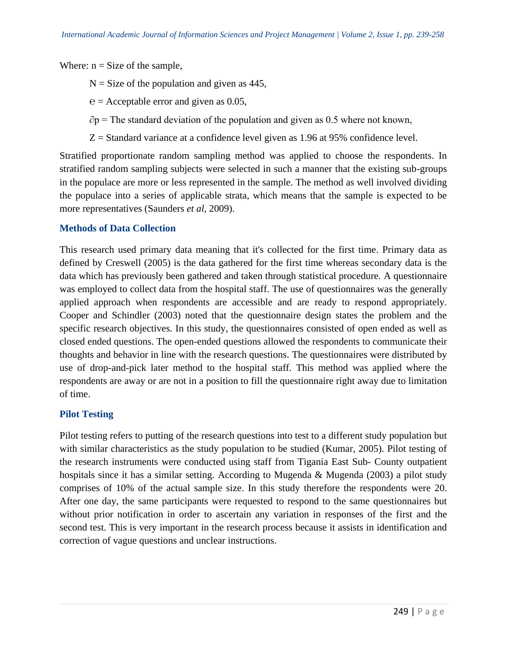Where:  $n = Size$  of the sample,

- $N =$  Size of the population and given as 445,
- $e =$  Acceptable error and given as 0.05,
- $\partial p$  = The standard deviation of the population and given as 0.5 where not known,
- $Z =$  Standard variance at a confidence level given as 1.96 at 95% confidence level.

Stratified proportionate random sampling method was applied to choose the respondents. In stratified random sampling subjects were selected in such a manner that the existing sub-groups in the populace are more or less represented in the sample. The method as well involved dividing the populace into a series of applicable strata, which means that the sample is expected to be more representatives (Saunders *et al,* 2009).

## **Methods of Data Collection**

This research used primary data meaning that it's collected for the first time. Primary data as defined by Creswell (2005) is the data gathered for the first time whereas secondary data is the data which has previously been gathered and taken through statistical procedure. A questionnaire was employed to collect data from the hospital staff. The use of questionnaires was the generally applied approach when respondents are accessible and are ready to respond appropriately. Cooper and Schindler (2003) noted that the questionnaire design states the problem and the specific research objectives. In this study, the questionnaires consisted of open ended as well as closed ended questions. The open-ended questions allowed the respondents to communicate their thoughts and behavior in line with the research questions. The questionnaires were distributed by use of drop-and-pick later method to the hospital staff. This method was applied where the respondents are away or are not in a position to fill the questionnaire right away due to limitation of time.

#### **Pilot Testing**

Pilot testing refers to putting of the research questions into test to a different study population but with similar characteristics as the study population to be studied (Kumar, 2005). Pilot testing of the research instruments were conducted using staff from Tigania East Sub- County outpatient hospitals since it has a similar setting. According to Mugenda  $\&$  Mugenda (2003) a pilot study comprises of 10% of the actual sample size. In this study therefore the respondents were 20. After one day, the same participants were requested to respond to the same questionnaires but without prior notification in order to ascertain any variation in responses of the first and the second test. This is very important in the research process because it assists in identification and correction of vague questions and unclear instructions.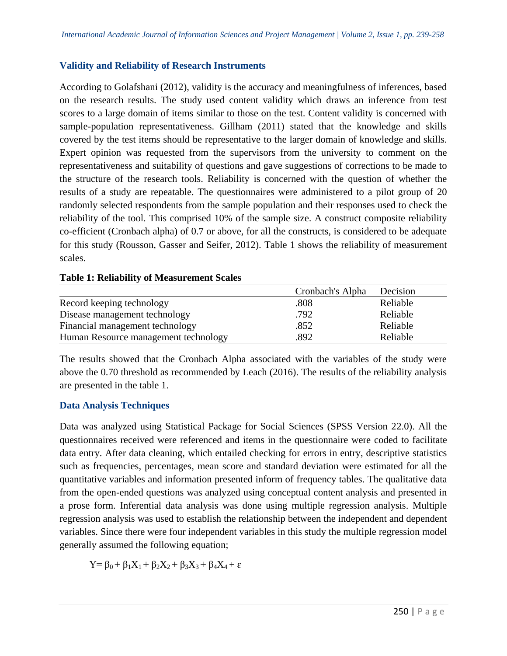# **Validity and Reliability of Research Instruments**

According to Golafshani (2012), validity is the accuracy and meaningfulness of inferences, based on the research results. The study used content validity which draws an inference from test scores to a large domain of items similar to those on the test. Content validity is concerned with sample-population representativeness. Gillham (2011) stated that the knowledge and skills covered by the test items should be representative to the larger domain of knowledge and skills. Expert opinion was requested from the supervisors from the university to comment on the representativeness and suitability of questions and gave suggestions of corrections to be made to the structure of the research tools. Reliability is concerned with the question of whether the results of a study are repeatable. The questionnaires were administered to a pilot group of 20 randomly selected respondents from the sample population and their responses used to check the reliability of the tool. This comprised 10% of the sample size. A construct composite reliability co-efficient (Cronbach alpha) of 0.7 or above, for all the constructs, is considered to be adequate for this study (Rousson, Gasser and Seifer, 2012). Table 1 shows the reliability of measurement scales.

|                                      | Cronbach's Alpha | Decision |
|--------------------------------------|------------------|----------|
| Record keeping technology            | .808             | Reliable |
| Disease management technology        | .792             | Reliable |
| Financial management technology      | .852             | Reliable |
| Human Resource management technology | .892             | Reliable |

#### **Table 1: Reliability of Measurement Scales**

The results showed that the Cronbach Alpha associated with the variables of the study were above the 0.70 threshold as recommended by Leach (2016). The results of the reliability analysis are presented in the table 1.

# **Data Analysis Techniques**

Data was analyzed using Statistical Package for Social Sciences (SPSS Version 22.0). All the questionnaires received were referenced and items in the questionnaire were coded to facilitate data entry. After data cleaning, which entailed checking for errors in entry, descriptive statistics such as frequencies, percentages, mean score and standard deviation were estimated for all the quantitative variables and information presented inform of frequency tables. The qualitative data from the open-ended questions was analyzed using conceptual content analysis and presented in a prose form. Inferential data analysis was done using multiple regression analysis. Multiple regression analysis was used to establish the relationship between the independent and dependent variables. Since there were four independent variables in this study the multiple regression model generally assumed the following equation;

$$
Y = \beta_0 + \beta_1 X_1 + \beta_2 X_2 + \beta_3 X_3 + \beta_4 X_4 + \epsilon
$$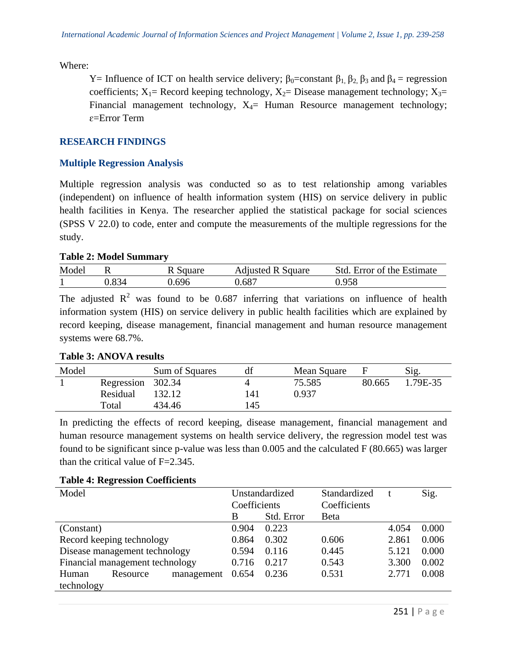Where:

Y= Influence of ICT on health service delivery;  $\beta_0$ =constant  $\beta_1$ ,  $\beta_2$ ,  $\beta_3$  and  $\beta_4$ = regression coefficients;  $X_1$ = Record keeping technology,  $X_2$ = Disease management technology;  $X_3$ = Financial management technology,  $X_4$ = Human Resource management technology; ɛ=Error Term

## **RESEARCH FINDINGS**

#### **Multiple Regression Analysis**

Multiple regression analysis was conducted so as to test relationship among variables (independent) on influence of health information system (HIS) on service delivery in public health facilities in Kenya. The researcher applied the statistical package for social sciences (SPSS V 22.0) to code, enter and compute the measurements of the multiple regressions for the study.

#### **Table 2: Model Summary**

| Model |        | Square | <b>Adjusted R Square</b> | Std. Error of the Estimate |
|-------|--------|--------|--------------------------|----------------------------|
|       | ۔334،ر | ).696  | 0.687                    | ).958                      |

The adjusted  $\mathbb{R}^2$  was found to be 0.687 inferring that variations on influence of health information system (HIS) on service delivery in public health facilities which are explained by record keeping, disease management, financial management and human resource management systems were 68.7%.

#### **Table 3: ANOVA results**

| Model |            | Sum of Squares | df  | Mean Square |        | Sig.     |
|-------|------------|----------------|-----|-------------|--------|----------|
|       | Regression | 302.34         |     | 75.585      | 80.665 | 1.79E-35 |
|       | Residual   | 132.12         | 141 | 0.937       |        |          |
|       | Total      | 434.46         | 145 |             |        |          |

In predicting the effects of record keeping, disease management, financial management and human resource management systems on health service delivery, the regression model test was found to be significant since p-value was less than 0.005 and the calculated F (80.665) was larger than the critical value of  $F=2.345$ .

| Model                           |                               | Unstandardized |              | Standardized |              | Sig.  |       |
|---------------------------------|-------------------------------|----------------|--------------|--------------|--------------|-------|-------|
|                                 |                               |                | Coefficients |              | Coefficients |       |       |
|                                 |                               |                | B            | Std. Error   | Beta         |       |       |
| (Constant)                      |                               |                | 0.904        | 0.223        |              | 4.054 | 0.000 |
|                                 | Record keeping technology     |                | 0.864        | 0.302        | 0.606        | 2.861 | 0.006 |
|                                 | Disease management technology |                | 0.594        | 0.116        | 0.445        | 5.121 | 0.000 |
| Financial management technology |                               | 0.716          | 0.217        | 0.543        | 3.300        | 0.002 |       |
| Human                           | Resource                      | management     | 0.654        | 0.236        | 0.531        | 2.771 | 0.008 |
| technology                      |                               |                |              |              |              |       |       |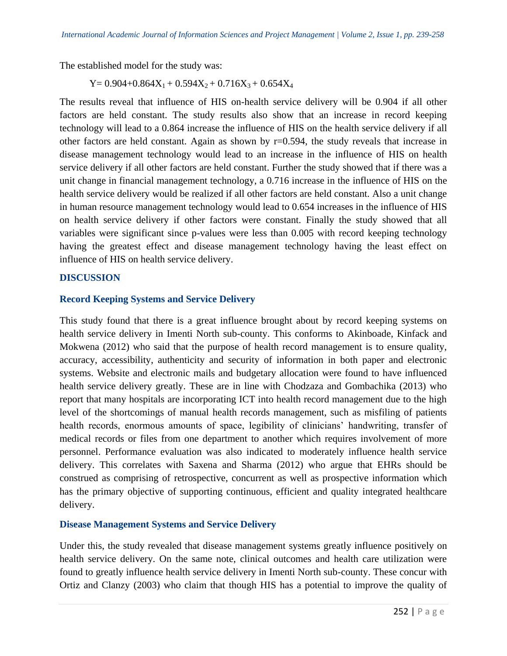The established model for the study was:

 $Y= 0.904+0.864X_1+0.594X_2+0.716X_3+0.654X_4$ 

The results reveal that influence of HIS on-health service delivery will be 0.904 if all other factors are held constant. The study results also show that an increase in record keeping technology will lead to a 0.864 increase the influence of HIS on the health service delivery if all other factors are held constant. Again as shown by r=0.594, the study reveals that increase in disease management technology would lead to an increase in the influence of HIS on health service delivery if all other factors are held constant. Further the study showed that if there was a unit change in financial management technology, a 0.716 increase in the influence of HIS on the health service delivery would be realized if all other factors are held constant. Also a unit change in human resource management technology would lead to 0.654 increases in the influence of HIS on health service delivery if other factors were constant. Finally the study showed that all variables were significant since p-values were less than 0.005 with record keeping technology having the greatest effect and disease management technology having the least effect on influence of HIS on health service delivery.

#### **DISCUSSION**

## **Record Keeping Systems and Service Delivery**

This study found that there is a great influence brought about by record keeping systems on health service delivery in Imenti North sub-county. This conforms to Akinboade, Kinfack and Mokwena (2012) who said that the purpose of health record management is to ensure quality, accuracy, accessibility, authenticity and security of information in both paper and electronic systems. Website and electronic mails and budgetary allocation were found to have influenced health service delivery greatly. These are in line with Chodzaza and Gombachika (2013) who report that many hospitals are incorporating ICT into health record management due to the high level of the shortcomings of manual health records management, such as misfiling of patients health records, enormous amounts of space, legibility of clinicians' handwriting, transfer of medical records or files from one department to another which requires involvement of more personnel. Performance evaluation was also indicated to moderately influence health service delivery. This correlates with Saxena and Sharma (2012) who argue that EHRs should be construed as comprising of retrospective, concurrent as well as prospective information which has the primary objective of supporting continuous, efficient and quality integrated healthcare delivery.

# **Disease Management Systems and Service Delivery**

Under this, the study revealed that disease management systems greatly influence positively on health service delivery. On the same note, clinical outcomes and health care utilization were found to greatly influence health service delivery in Imenti North sub-county. These concur with Ortiz and Clanzy (2003) who claim that though HIS has a potential to improve the quality of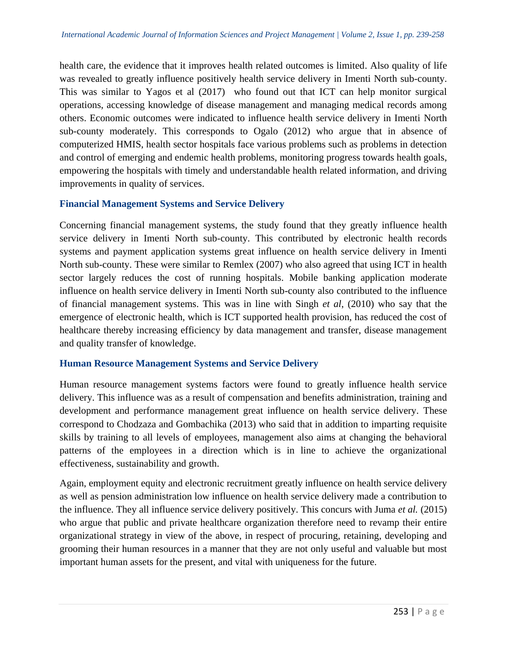health care, the evidence that it improves health related outcomes is limited. Also quality of life was revealed to greatly influence positively health service delivery in Imenti North sub-county. This was similar to Yagos et al (2017) who found out that ICT can help monitor surgical operations, accessing knowledge of disease management and managing medical records among others. Economic outcomes were indicated to influence health service delivery in Imenti North sub-county moderately. This corresponds to Ogalo (2012) who argue that in absence of computerized HMIS, health sector hospitals face various problems such as problems in detection and control of emerging and endemic health problems, monitoring progress towards health goals, empowering the hospitals with timely and understandable health related information, and driving improvements in quality of services.

#### **Financial Management Systems and Service Delivery**

Concerning financial management systems, the study found that they greatly influence health service delivery in Imenti North sub-county. This contributed by electronic health records systems and payment application systems great influence on health service delivery in Imenti North sub-county. These were similar to Remlex (2007) who also agreed that using ICT in health sector largely reduces the cost of running hospitals. Mobile banking application moderate influence on health service delivery in Imenti North sub-county also contributed to the influence of financial management systems. This was in line with Singh *et al*, (2010) who say that the emergence of electronic health, which is ICT supported health provision, has reduced the cost of healthcare thereby increasing efficiency by data management and transfer, disease management and quality transfer of knowledge.

#### **Human Resource Management Systems and Service Delivery**

Human resource management systems factors were found to greatly influence health service delivery. This influence was as a result of compensation and benefits administration, training and development and performance management great influence on health service delivery. These correspond to Chodzaza and Gombachika (2013) who said that in addition to imparting requisite skills by training to all levels of employees, management also aims at changing the behavioral patterns of the employees in a direction which is in line to achieve the organizational effectiveness, sustainability and growth.

Again, employment equity and electronic recruitment greatly influence on health service delivery as well as pension administration low influence on health service delivery made a contribution to the influence. They all influence service delivery positively. This concurs with Juma *et al.* (2015) who argue that public and private healthcare organization therefore need to revamp their entire organizational strategy in view of the above, in respect of procuring, retaining, developing and grooming their human resources in a manner that they are not only useful and valuable but most important human assets for the present, and vital with uniqueness for the future.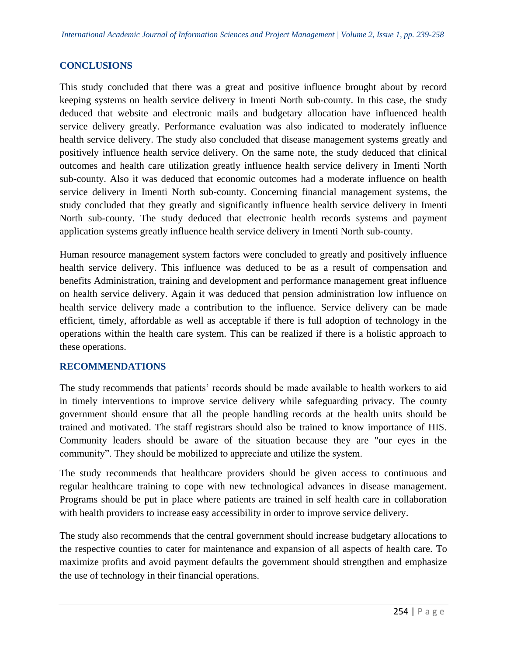## **CONCLUSIONS**

This study concluded that there was a great and positive influence brought about by record keeping systems on health service delivery in Imenti North sub-county. In this case, the study deduced that website and electronic mails and budgetary allocation have influenced health service delivery greatly. Performance evaluation was also indicated to moderately influence health service delivery. The study also concluded that disease management systems greatly and positively influence health service delivery. On the same note, the study deduced that clinical outcomes and health care utilization greatly influence health service delivery in Imenti North sub-county. Also it was deduced that economic outcomes had a moderate influence on health service delivery in Imenti North sub-county. Concerning financial management systems, the study concluded that they greatly and significantly influence health service delivery in Imenti North sub-county. The study deduced that electronic health records systems and payment application systems greatly influence health service delivery in Imenti North sub-county.

Human resource management system factors were concluded to greatly and positively influence health service delivery. This influence was deduced to be as a result of compensation and benefits Administration, training and development and performance management great influence on health service delivery. Again it was deduced that pension administration low influence on health service delivery made a contribution to the influence. Service delivery can be made efficient, timely, affordable as well as acceptable if there is full adoption of technology in the operations within the health care system. This can be realized if there is a holistic approach to these operations.

#### **RECOMMENDATIONS**

The study recommends that patients' records should be made available to health workers to aid in timely interventions to improve service delivery while safeguarding privacy. The county government should ensure that all the people handling records at the health units should be trained and motivated. The staff registrars should also be trained to know importance of HIS. Community leaders should be aware of the situation because they are "our eyes in the community". They should be mobilized to appreciate and utilize the system.

The study recommends that healthcare providers should be given access to continuous and regular healthcare training to cope with new technological advances in disease management. Programs should be put in place where patients are trained in self health care in collaboration with health providers to increase easy accessibility in order to improve service delivery.

The study also recommends that the central government should increase budgetary allocations to the respective counties to cater for maintenance and expansion of all aspects of health care. To maximize profits and avoid payment defaults the government should strengthen and emphasize the use of technology in their financial operations.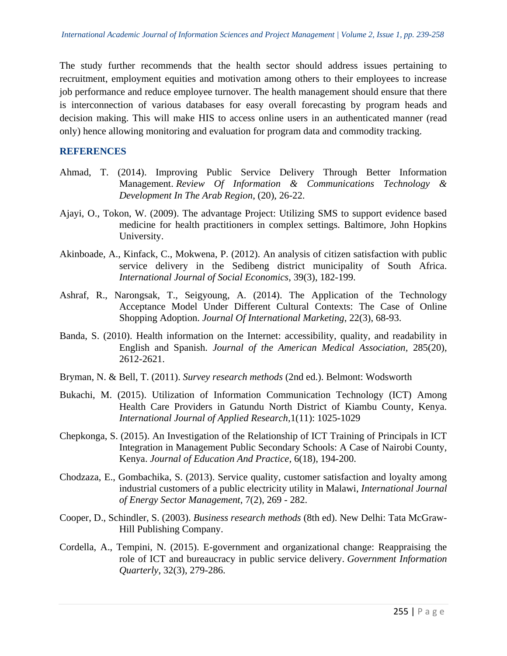The study further recommends that the health sector should address issues pertaining to recruitment, employment equities and motivation among others to their employees to increase job performance and reduce employee turnover. The health management should ensure that there is interconnection of various databases for easy overall forecasting by program heads and decision making. This will make HIS to access online users in an authenticated manner (read only) hence allowing monitoring and evaluation for program data and commodity tracking.

#### **REFERENCES**

- Ahmad, T. (2014). Improving Public Service Delivery Through Better Information Management. *Review Of Information & Communications Technology & Development In The Arab Region*, (20), 26-22.
- Ajayi, O., Tokon, W. (2009). The advantage Project: Utilizing SMS to support evidence based medicine for health practitioners in complex settings. Baltimore, John Hopkins University.
- Akinboade, A., Kinfack, C., Mokwena, P. (2012). An analysis of citizen satisfaction with public service delivery in the Sedibeng district municipality of South Africa. *International Journal of Social Economics*, 39(3), 182-199.
- Ashraf, R., Narongsak, T., Seigyoung, A. (2014). The Application of the Technology Acceptance Model Under Different Cultural Contexts: The Case of Online Shopping Adoption. *Journal Of International Marketing*, 22(3), 68-93.
- Banda, S. (2010). Health information on the Internet: accessibility, quality, and readability in English and Spanish. *Journal of the American Medical Association,* 285(20), 2612-2621.
- Bryman, N. & Bell, T. (2011). *Survey research methods* (2nd ed.). Belmont: Wodsworth
- Bukachi, M. (2015). Utilization of Information Communication Technology (ICT) Among Health Care Providers in Gatundu North District of Kiambu County, Kenya. *International Journal of Applied Research,*1(11): 1025-1029
- Chepkonga, S. (2015). An Investigation of the Relationship of ICT Training of Principals in ICT Integration in Management Public Secondary Schools: A Case of Nairobi County, Kenya. *Journal of Education And Practice*, 6(18), 194-200.
- Chodzaza, E., Gombachika, S. (2013). Service quality, customer satisfaction and loyalty among industrial customers of a public electricity utility in Malawi, *International Journal of Energy Sector Management*, 7(2), 269 - 282.
- Cooper, D., Schindler, S. (2003). *Business research methods* (8th ed). New Delhi: Tata McGraw-Hill Publishing Company.
- Cordella, A., Tempini, N. (2015). E-government and organizational change: Reappraising the role of ICT and bureaucracy in public service delivery. *Government Information Quarterly*, 32(3), 279-286.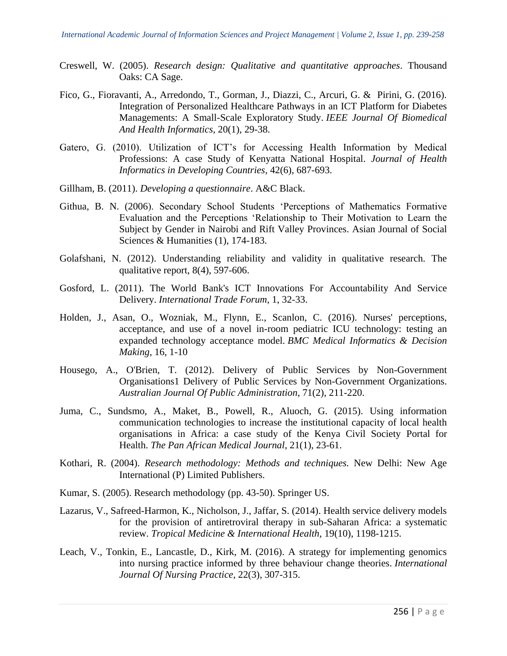- Creswell, W. (2005). *Research design: Qualitative and quantitative approaches*. Thousand Oaks: CA Sage.
- Fico, G., Fioravanti, A., Arredondo, T., Gorman, J., Diazzi, C., Arcuri, G. & Pirini, G. (2016). Integration of Personalized Healthcare Pathways in an ICT Platform for Diabetes Managements: A Small-Scale Exploratory Study. *IEEE Journal Of Biomedical And Health Informatics*, 20(1), 29-38.
- Gatero, G. (2010). Utilization of ICT's for Accessing Health Information by Medical Professions: A case Study of Kenyatta National Hospital. *Journal of Health Informatics in Developing Countries,* 42(6), 687-693.
- Gillham, B. (2011). *Developing a questionnaire*. A&C Black.
- Githua, B. N. (2006). Secondary School Students 'Perceptions of Mathematics Formative Evaluation and the Perceptions 'Relationship to Their Motivation to Learn the Subject by Gender in Nairobi and Rift Valley Provinces. Asian Journal of Social Sciences & Humanities (1), 174-183.
- Golafshani, N. (2012). Understanding reliability and validity in qualitative research. The qualitative report, 8(4), 597-606.
- Gosford, L. (2011). The World Bank's ICT Innovations For Accountability And Service Delivery. *International Trade Forum*, 1, 32-33.
- Holden, J., Asan, O., Wozniak, M., Flynn, E., Scanlon, C. (2016). Nurses' perceptions, acceptance, and use of a novel in-room pediatric ICU technology: testing an expanded technology acceptance model. *BMC Medical Informatics & Decision Making*, 16, 1-10
- Housego, A., O'Brien, T. (2012). Delivery of Public Services by Non-Government Organisations1 Delivery of Public Services by Non-Government Organizations. *Australian Journal Of Public Administration*, 71(2), 211-220.
- Juma, C., Sundsmo, A., Maket, B., Powell, R., Aluoch, G. (2015). Using information communication technologies to increase the institutional capacity of local health organisations in Africa: a case study of the Kenya Civil Society Portal for Health. *The Pan African Medical Journal*, 21(1), 23-61.
- Kothari, R. (2004). *Research methodology: Methods and techniques.* New Delhi: New Age International (P) Limited Publishers.
- Kumar, S. (2005). Research methodology (pp. 43-50). Springer US.
- Lazarus, V., Safreed-Harmon, K., Nicholson, J., Jaffar, S. (2014). Health service delivery models for the provision of antiretroviral therapy in sub-Saharan Africa: a systematic review. *Tropical Medicine & International Health*, 19(10), 1198-1215.
- Leach, V., Tonkin, E., Lancastle, D., Kirk, M. (2016). A strategy for implementing genomics into nursing practice informed by three behaviour change theories. *International Journal Of Nursing Practice*, 22(3), 307-315.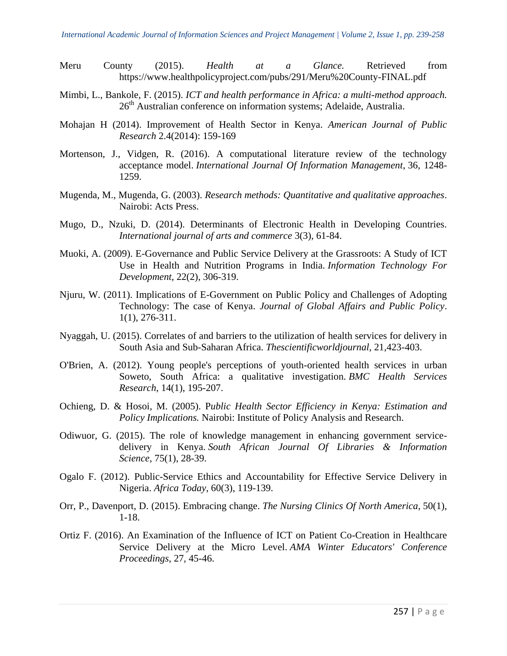- Meru County (2015). *Health at a Glance.* Retrieved from https://www.healthpolicyproject.com/pubs/291/Meru%20County-FINAL.pdf
- Mimbi, L., Bankole, F. (2015). *ICT and health performance in Africa: a multi-method approach.* 26<sup>th</sup> Australian conference on information systems; Adelaide, Australia.
- Mohajan H (2014). Improvement of Health Sector in Kenya. *American Journal of Public Research* 2.4(2014): 159-169
- Mortenson, J., Vidgen, R. (2016). A computational literature review of the technology acceptance model. *International Journal Of Information Management*, 36*,* 1248- 1259.
- Mugenda, M., Mugenda, G. (2003). *Research methods: Quantitative and qualitative approaches*. Nairobi: Acts Press.
- Mugo, D., Nzuki, D. (2014). Determinants of Electronic Health in Developing Countries. *International journal of arts and commerce* 3(3), 61-84.
- Muoki, A. (2009). E-Governance and Public Service Delivery at the Grassroots: A Study of ICT Use in Health and Nutrition Programs in India. *Information Technology For Development*, 22(2), 306-319.
- Njuru, W. (2011). Implications of E-Government on Public Policy and Challenges of Adopting Technology: The case of Kenya. *Journal of Global Affairs and Public Policy*. 1(1), 276-311.
- Nyaggah, U. (2015). Correlates of and barriers to the utilization of health services for delivery in South Asia and Sub-Saharan Africa. *Thescientificworldjournal*, 21*,*423-403.
- O'Brien, A. (2012). Young people's perceptions of youth-oriented health services in urban Soweto, South Africa: a qualitative investigation. *BMC Health Services Research*, 14(1), 195-207.
- Ochieng, D. & Hosoi, M. (2005). P*ublic Health Sector Efficiency in Kenya: Estimation and Policy Implications.* Nairobi: Institute of Policy Analysis and Research.
- Odiwuor, G. (2015). The role of knowledge management in enhancing government servicedelivery in Kenya. *South African Journal Of Libraries & Information Science*, 75(1), 28-39.
- Ogalo F. (2012). Public-Service Ethics and Accountability for Effective Service Delivery in Nigeria. *Africa Today*, 60(3), 119-139.
- Orr, P., Davenport, D. (2015). Embracing change. *The Nursing Clinics Of North America*, 50(1), 1-18.
- Ortiz F. (2016). An Examination of the Influence of ICT on Patient Co-Creation in Healthcare Service Delivery at the Micro Level. *AMA Winter Educators' Conference Proceedings*, 27*,* 45-46.